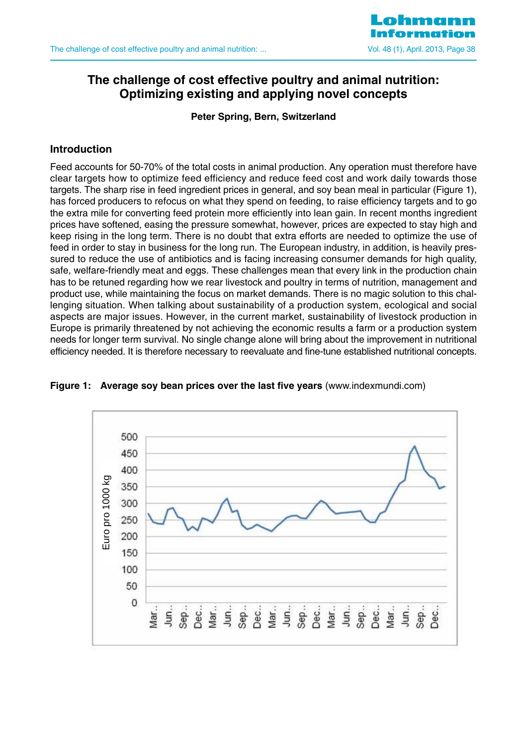

# **The challenge of cost effective poultry and animal nutrition: Optimizing existing and applying novel concepts**

**Peter Spring, Bern, Switzerland**

## **Introduction**

Feed accounts for 50-70% of the total costs in animal production. Any operation must therefore have clear targets how to optimize feed efficiency and reduce feed cost and work daily towards those targets. The sharp rise in feed ingredient prices in general, and soy bean meal in particular (Figure 1), has forced producers to refocus on what they spend on feeding, to raise efficiency targets and to go the extra mile for converting feed protein more efficiently into lean gain. In recent months ingredient prices have softened, easing the pressure somewhat, however, prices are expected to stay high and keep rising in the long term. There is no doubt that extra efforts are needed to optimize the use of feed in order to stay in business for the long run. The European industry, in addition, is heavily pressured to reduce the use of antibiotics and is facing increasing consumer demands for high quality, safe, welfare-friendly meat and eggs. These challenges mean that every link in the production chain has to be retuned regarding how we rear livestock and poultry in terms of nutrition, management and product use, while maintaining the focus on market demands. There is no magic solution to this challenging situation. When talking about sustainability of a production system, ecological and social aspects are major issues. However, in the current market, sustainability of livestock production in Europe is primarily threatened by not achieving the economic results a farm or a production system needs for longer term survival. No single change alone will bring about the improvement in nutritional efficiency needed. It is therefore necessary to reevaluate and fine-tune established nutritional concepts.



**Figure 1: Average soy bean prices over the last five years** (www.indexmundi.com)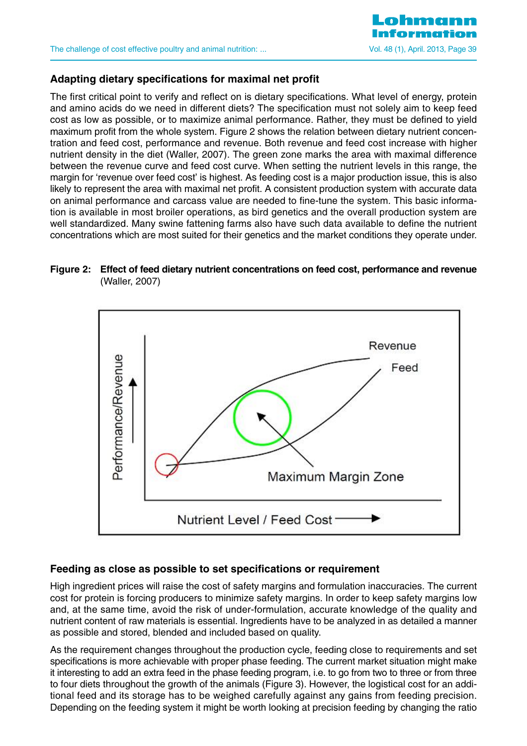

### **Adapting dietary specifications for maximal net profit**

The first critical point to verify and reflect on is dietary specifications. What level of energy, protein and amino acids do we need in different diets? The specification must not solely aim to keep feed cost as low as possible, or to maximize animal performance. Rather, they must be defined to yield maximum profit from the whole system. Figure 2 shows the relation between dietary nutrient concentration and feed cost, performance and revenue. Both revenue and feed cost increase with higher nutrient density in the diet (Waller, 2007). The green zone marks the area with maximal difference between the revenue curve and feed cost curve. When setting the nutrient levels in this range, the margin for 'revenue over feed cost' is highest. As feeding cost is a major production issue, this is also likely to represent the area with maximal net profit. A consistent production system with accurate data on animal performance and carcass value are needed to fine-tune the system. This basic information is available in most broiler operations, as bird genetics and the overall production system are well standardized. Many swine fattening farms also have such data available to define the nutrient concentrations which are most suited for their genetics and the market conditions they operate under.

#### **Figure 2: Effect of feed dietary nutrient concentrations on feed cost, performance and revenue** (Waller, 2007)



#### **Feeding as close as possible to set specifications or requirement**

High ingredient prices will raise the cost of safety margins and formulation inaccuracies. The current cost for protein is forcing producers to minimize safety margins. In order to keep safety margins low and, at the same time, avoid the risk of under-formulation, accurate knowledge of the quality and nutrient content of raw materials is essential. Ingredients have to be analyzed in as detailed a manner as possible and stored, blended and included based on quality.

As the requirement changes throughout the production cycle, feeding close to requirements and set specifications is more achievable with proper phase feeding. The current market situation might make it interesting to add an extra feed in the phase feeding program, i.e. to go from two to three or from three to four diets throughout the growth of the animals (Figure 3). However, the logistical cost for an additional feed and its storage has to be weighed carefully against any gains from feeding precision. Depending on the feeding system it might be worth looking at precision feeding by changing the ratio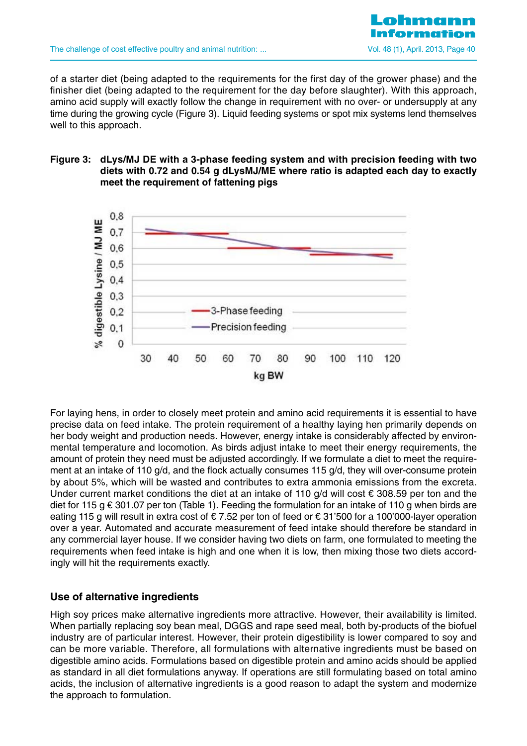

of a starter diet (being adapted to the requirements for the first day of the grower phase) and the finisher diet (being adapted to the requirement for the day before slaughter). With this approach, amino acid supply will exactly follow the change in requirement with no over- or undersupply at any time during the growing cycle (Figure 3). Liquid feeding systems or spot mix systems lend themselves well to this approach.

#### **Figure 3: dLys/MJ DE with a 3-phase feeding system and with precision feeding with two diets with 0.72 and 0.54 g dLysMJ/ME where ratio is adapted each day to exactly meet the requirement of fattening pigs**



For laying hens, in order to closely meet protein and amino acid requirements it is essential to have precise data on feed intake. The protein requirement of a healthy laying hen primarily depends on her body weight and production needs. However, energy intake is considerably affected by environmental temperature and locomotion. As birds adjust intake to meet their energy requirements, the amount of protein they need must be adjusted accordingly. If we formulate a diet to meet the requirement at an intake of 110 g/d, and the flock actually consumes 115 g/d, they will over-consume protein by about 5%, which will be wasted and contributes to extra ammonia emissions from the excreta. Under current market conditions the diet at an intake of 110  $q/d$  will cost € 308.59 per ton and the diet for 115 g  $\epsilon$  301.07 per ton (Table 1). Feeding the formulation for an intake of 110 g when birds are eating 115 g will result in extra cost of € 7.52 per ton of feed or € 31'500 for a 100'000-layer operation over a year. Automated and accurate measurement of feed intake should therefore be standard in any commercial layer house. If we consider having two diets on farm, one formulated to meeting the requirements when feed intake is high and one when it is low, then mixing those two diets accordingly will hit the requirements exactly.

### **Use of alternative ingredients**

High soy prices make alternative ingredients more attractive. However, their availability is limited. When partially replacing soy bean meal, DGGS and rape seed meal, both by-products of the biofuel industry are of particular interest. However, their protein digestibility is lower compared to soy and can be more variable. Therefore, all formulations with alternative ingredients must be based on digestible amino acids. Formulations based on digestible protein and amino acids should be applied as standard in all diet formulations anyway. If operations are still formulating based on total amino acids, the inclusion of alternative ingredients is a good reason to adapt the system and modernize the approach to formulation.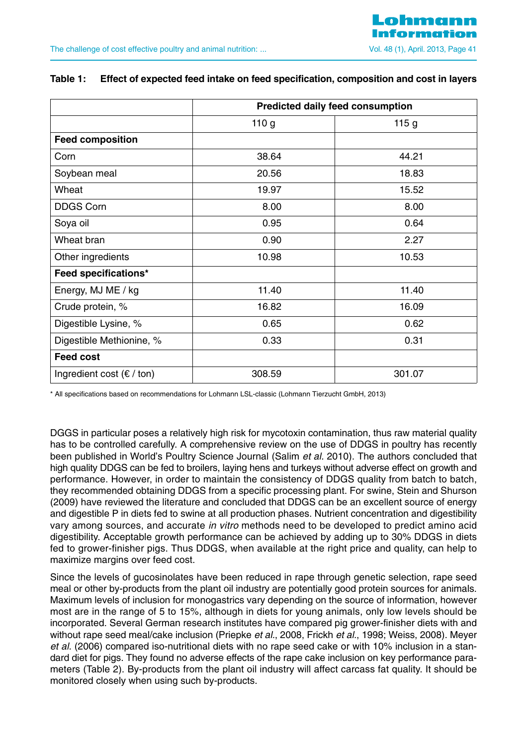|                                           | <b>Predicted daily feed consumption</b> |        |
|-------------------------------------------|-----------------------------------------|--------|
|                                           | 110 <sub>g</sub>                        | 115g   |
| <b>Feed composition</b>                   |                                         |        |
| Corn                                      | 38.64                                   | 44.21  |
| Soybean meal                              | 20.56                                   | 18.83  |
| Wheat                                     | 19.97                                   | 15.52  |
| <b>DDGS Corn</b>                          | 8.00                                    | 8.00   |
| Soya oil                                  | 0.95                                    | 0.64   |
| Wheat bran                                | 0.90                                    | 2.27   |
| Other ingredients                         | 10.98                                   | 10.53  |
| Feed specifications*                      |                                         |        |
| Energy, MJ ME / kg                        | 11.40                                   | 11.40  |
| Crude protein, %                          | 16.82                                   | 16.09  |
| Digestible Lysine, %                      | 0.65                                    | 0.62   |
| Digestible Methionine, %                  | 0.33                                    | 0.31   |
| <b>Feed cost</b>                          |                                         |        |
| Ingredient cost $(\epsilon / \text{ton})$ | 308.59                                  | 301.07 |

#### **Table 1: Effect of expected feed intake on feed specification, composition and cost in layers**

\* All specifications based on recommendations for Lohmann LSL-classic (Lohmann Tierzucht GmbH, 2013)

DGGS in particular poses a relatively high risk for mycotoxin contamination, thus raw material quality has to be controlled carefully. A comprehensive review on the use of DDGS in poultry has recently been published in World's Poultry Science Journal (Salim et al. 2010). The authors concluded that high quality DDGS can be fed to broilers, laying hens and turkeys without adverse effect on growth and performance. However, in order to maintain the consistency of DDGS quality from batch to batch, they recommended obtaining DDGS from a specific processing plant. For swine, Stein and Shurson (2009) have reviewed the literature and concluded that DDGS can be an excellent source of energy and digestible P in diets fed to swine at all production phases. Nutrient concentration and digestibility vary among sources, and accurate in vitro methods need to be developed to predict amino acid digestibility. Acceptable growth performance can be achieved by adding up to 30% DDGS in diets fed to grower-finisher pigs. Thus DDGS, when available at the right price and quality, can help to maximize margins over feed cost.

Since the levels of gucosinolates have been reduced in rape through genetic selection, rape seed meal or other by-products from the plant oil industry are potentially good protein sources for animals. Maximum levels of inclusion for monogastrics vary depending on the source of information, however most are in the range of 5 to 15%, although in diets for young animals, only low levels should be incorporated. Several German research institutes have compared pig grower-finisher diets with and without rape seed meal/cake inclusion (Priepke et al., 2008, Frickh et al., 1998; Weiss, 2008). Meyer et al. (2006) compared iso-nutritional diets with no rape seed cake or with 10% inclusion in a standard diet for pigs. They found no adverse effects of the rape cake inclusion on key performance parameters (Table 2). By-products from the plant oil industry will affect carcass fat quality. It should be monitored closely when using such by-products.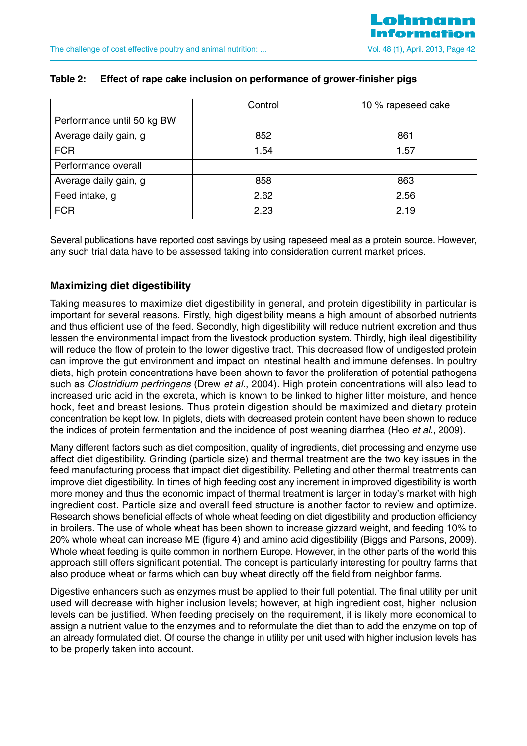|                            | Control | 10 % rapeseed cake |
|----------------------------|---------|--------------------|
| Performance until 50 kg BW |         |                    |
| Average daily gain, g      | 852     | 861                |
| <b>FCR</b>                 | 1.54    | 1.57               |
| Performance overall        |         |                    |
| Average daily gain, g      | 858     | 863                |
| Feed intake, g             | 2.62    | 2.56               |
| <b>FCR</b>                 | 2.23    | 2.19               |

#### **Table 2: Effect of rape cake inclusion on performance of grower-finisher pigs**

Several publications have reported cost savings by using rapeseed meal as a protein source. However, any such trial data have to be assessed taking into consideration current market prices.

## **Maximizing diet digestibility**

Taking measures to maximize diet digestibility in general, and protein digestibility in particular is important for several reasons. Firstly, high digestibility means a high amount of absorbed nutrients and thus efficient use of the feed. Secondly, high digestibility will reduce nutrient excretion and thus lessen the environmental impact from the livestock production system. Thirdly, high ileal digestibility will reduce the flow of protein to the lower digestive tract. This decreased flow of undigested protein can improve the gut environment and impact on intestinal health and immune defenses. In poultry diets, high protein concentrations have been shown to favor the proliferation of potential pathogens such as *Clostridium perfringens* (Drew *et al.,* 2004). High protein concentrations will also lead to increased uric acid in the excreta, which is known to be linked to higher litter moisture, and hence hock, feet and breast lesions. Thus protein digestion should be maximized and dietary protein concentration be kept low. In piglets, diets with decreased protein content have been shown to reduce the indices of protein fermentation and the incidence of post weaning diarrhea (Heo et al., 2009).

Many different factors such as diet composition, quality of ingredients, diet processing and enzyme use affect diet digestibility. Grinding (particle size) and thermal treatment are the two key issues in the feed manufacturing process that impact diet digestibility. Pelleting and other thermal treatments can improve diet digestibility. In times of high feeding cost any increment in improved digestibility is worth more money and thus the economic impact of thermal treatment is larger in today's market with high ingredient cost. Particle size and overall feed structure is another factor to review and optimize. Research shows beneficial effects of whole wheat feeding on diet digestibility and production efficiency in broilers. The use of whole wheat has been shown to increase gizzard weight, and feeding 10% to 20% whole wheat can increase ME (figure 4) and amino acid digestibility (Biggs and Parsons, 2009). Whole wheat feeding is quite common in northern Europe. However, in the other parts of the world this approach still offers significant potential. The concept is particularly interesting for poultry farms that also produce wheat or farms which can buy wheat directly off the field from neighbor farms.

Digestive enhancers such as enzymes must be applied to their full potential. The final utility per unit used will decrease with higher inclusion levels; however, at high ingredient cost, higher inclusion levels can be justified. When feeding precisely on the requirement, it is likely more economical to assign a nutrient value to the enzymes and to reformulate the diet than to add the enzyme on top of an already formulated diet. Of course the change in utility per unit used with higher inclusion levels has to be properly taken into account.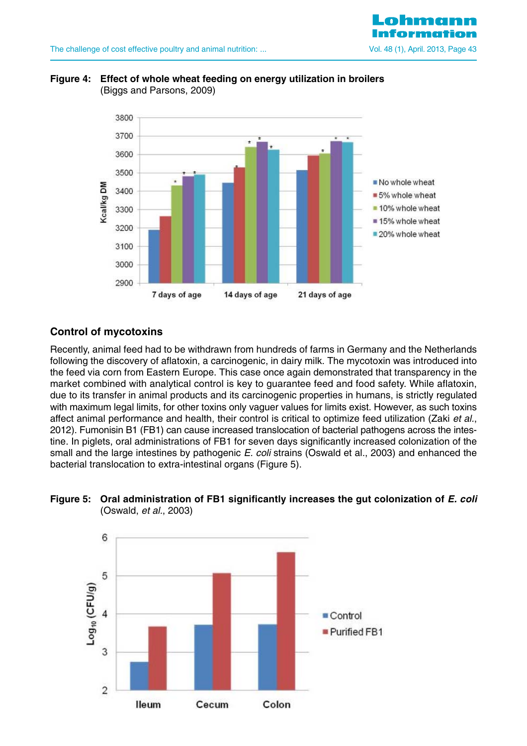

### **Figure 4: Effect of whole wheat feeding on energy utilization in broilers**  (Biggs and Parsons, 2009)



## **Control of mycotoxins**

Recently, animal feed had to be withdrawn from hundreds of farms in Germany and the Netherlands following the discovery of aflatoxin, a carcinogenic, in dairy milk. The mycotoxin was introduced into the feed via corn from Eastern Europe. This case once again demonstrated that transparency in the market combined with analytical control is key to guarantee feed and food safety. While aflatoxin, due to its transfer in animal products and its carcinogenic properties in humans, is strictly regulated with maximum legal limits, for other toxins only vaguer values for limits exist. However, as such toxins affect animal performance and health, their control is critical to optimize feed utilization (Zaki et al., 2012). Fumonisin B1 (FB1) can cause increased translocation of bacterial pathogens across the intestine. In piglets, oral administrations of FB1 for seven days significantly increased colonization of the small and the large intestines by pathogenic E. coli strains (Oswald et al., 2003) and enhanced the bacterial translocation to extra-intestinal organs (Figure 5).



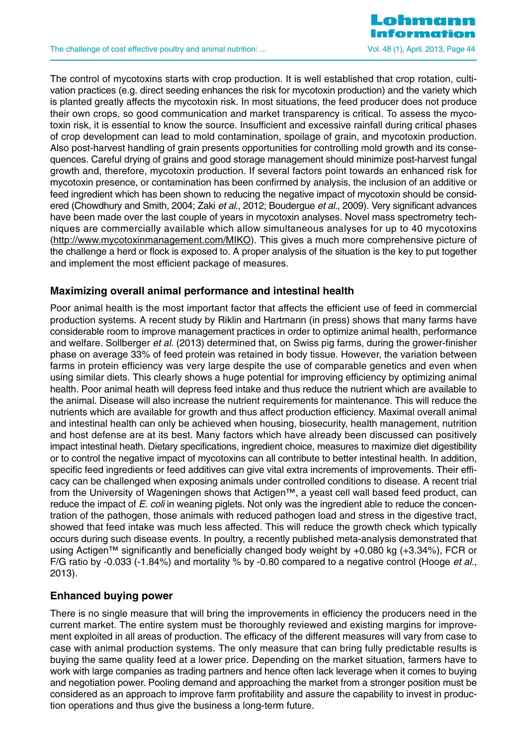

The control of mycotoxins starts with crop production. It is well established that crop rotation, cultivation practices (e.g. direct seeding enhances the risk for mycotoxin production) and the variety which is planted greatly affects the mycotoxin risk. In most situations, the feed producer does not produce their own crops, so good communication and market transparency is critical. To assess the mycotoxin risk, it is essential to know the source. Insufficient and excessive rainfall during critical phases of crop development can lead to mold contamination, spoilage of grain, and mycotoxin production. Also post-harvest handling of grain presents opportunities for controlling mold growth and its consequences. Careful drying of grains and good storage management should minimize post-harvest fungal growth and, therefore, mycotoxin production. If several factors point towards an enhanced risk for mycotoxin presence, or contamination has been confirmed by analysis, the inclusion of an additive or feed ingredient which has been shown to reducing the negative impact of mycotoxin should be considered (Chowdhury and Smith, 2004; Zaki et al., 2012; Boudergue et al., 2009). Very significant advances have been made over the last couple of years in mycotoxin analyses. Novel mass spectrometry techniques are commercially available which allow simultaneous analyses for up to 40 mycotoxins (http://www.mycotoxinmanagement.com/MIKO). This gives a much more comprehensive picture of the challenge a herd or flock is exposed to. A proper analysis of the situation is the key to put together and implement the most efficient package of measures.

### **Maximizing overall animal performance and intestinal health**

Poor animal health is the most important factor that affects the efficient use of feed in commercial production systems. A recent study by Riklin and Hartmann (in press) shows that many farms have considerable room to improve management practices in order to optimize animal health, performance and welfare. Sollberger et al. (2013) determined that, on Swiss pig farms, during the grower-finisher phase on average 33% of feed protein was retained in body tissue. However, the variation between farms in protein efficiency was very large despite the use of comparable genetics and even when using similar diets. This clearly shows a huge potential for improving efficiency by optimizing animal health. Poor animal heath will depress feed intake and thus reduce the nutrient which are available to the animal. Disease will also increase the nutrient requirements for maintenance. This will reduce the nutrients which are available for growth and thus affect production efficiency. Maximal overall animal and intestinal health can only be achieved when housing, biosecurity, health management, nutrition and host defense are at its best. Many factors which have already been discussed can positively impact intestinal heath. Dietary specifications, ingredient choice, measures to maximize diet digestibility or to control the negative impact of mycotoxins can all contribute to better intestinal health. In addition, specific feed ingredients or feed additives can give vital extra increments of improvements. Their efficacy can be challenged when exposing animals under controlled conditions to disease. A recent trial from the University of Wageningen shows that Actigen™, a yeast cell wall based feed product, can reduce the impact of E. coli in weaning piglets. Not only was the ingredient able to reduce the concentration of the pathogen, those animals with reduced pathogen load and stress in the digestive tract, showed that feed intake was much less affected. This will reduce the growth check which typically occurs during such disease events. In poultry, a recently published meta-analysis demonstrated that using Actigen™ significantly and beneficially changed body weight by +0.080 kg (+3.34%), FCR or F/G ratio by -0.033 (-1.84%) and mortality % by -0.80 compared to a negative control (Hooge *et al.*, 2013).

## **Enhanced buying power**

There is no single measure that will bring the improvements in efficiency the producers need in the current market. The entire system must be thoroughly reviewed and existing margins for improvement exploited in all areas of production. The efficacy of the different measures will vary from case to case with animal production systems. The only measure that can bring fully predictable results is buying the same quality feed at a lower price. Depending on the market situation, farmers have to work with large companies as trading partners and hence often lack leverage when it comes to buying and negotiation power. Pooling demand and approaching the market from a stronger position must be considered as an approach to improve farm profitability and assure the capability to invest in production operations and thus give the business a long-term future.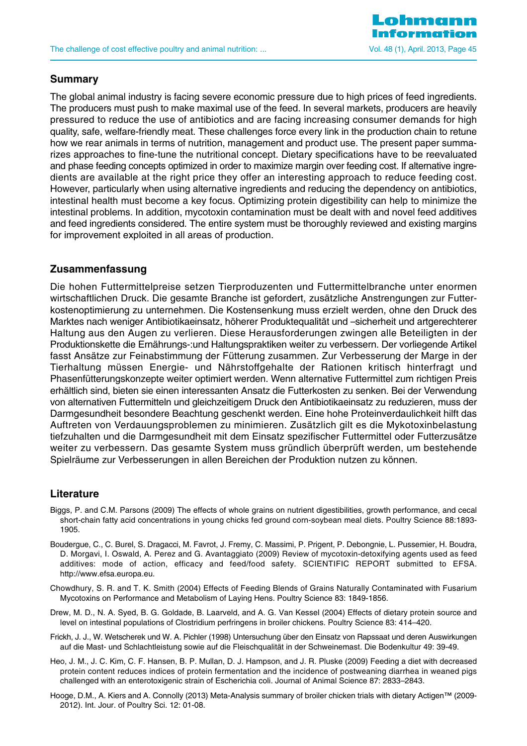

### **Summary**

The global animal industry is facing severe economic pressure due to high prices of feed ingredients. The producers must push to make maximal use of the feed. In several markets, producers are heavily pressured to reduce the use of antibiotics and are facing increasing consumer demands for high quality, safe, welfare-friendly meat. These challenges force every link in the production chain to retune how we rear animals in terms of nutrition, management and product use. The present paper summarizes approaches to fine-tune the nutritional concept. Dietary specifications have to be reevaluated and phase feeding concepts optimized in order to maximize margin over feeding cost. If alternative ingredients are available at the right price they offer an interesting approach to reduce feeding cost. However, particularly when using alternative ingredients and reducing the dependency on antibiotics, intestinal health must become a key focus. Optimizing protein digestibility can help to minimize the intestinal problems. In addition, mycotoxin contamination must be dealt with and novel feed additives and feed ingredients considered. The entire system must be thoroughly reviewed and existing margins for improvement exploited in all areas of production.

### **Zusammenfassung**

Die hohen Futtermittelpreise setzen Tierproduzenten und Futtermittelbranche unter enormen wirtschaftlichen Druck. Die gesamte Branche ist gefordert, zusätzliche Anstrengungen zur Futterkostenoptimierung zu unternehmen. Die Kostensenkung muss erzielt werden, ohne den Druck des Marktes nach weniger Antibiotikaeinsatz, höherer Produktequalität und –sicherheit und artgerechterer Haltung aus den Augen zu verlieren. Diese Herausforderungen zwingen alle Beteiligten in der Produktionskette die Ernährungs-:und Haltungspraktiken weiter zu verbessern. Der vorliegende Artikel fasst Ansätze zur Feinabstimmung der Fütterung zusammen. Zur Verbesserung der Marge in der Tierhaltung müssen Energie- und Nährstoffgehalte der Rationen kritisch hinterfragt und Phasenfütterungskonzepte weiter optimiert werden. Wenn alternative Futtermittel zum richtigen Preis erhältlich sind, bieten sie einen interessanten Ansatz die Futterkosten zu senken. Bei der Verwendung von alternativen Futtermitteln und gleichzeitigem Druck den Antibiotikaeinsatz zu reduzieren, muss der Darmgesundheit besondere Beachtung geschenkt werden. Eine hohe Proteinverdaulichkeit hilft das Auftreten von Verdauungsproblemen zu minimieren. Zusätzlich gilt es die Mykotoxinbelastung tiefzuhalten und die Darmgesundheit mit dem Einsatz spezifischer Futtermittel oder Futterzusätze weiter zu verbessern. Das gesamte System muss gründlich überprüft werden, um bestehende Spielräume zur Verbesserungen in allen Bereichen der Produktion nutzen zu können.

### **Literature**

- Biggs, P. and C.M. Parsons (2009) The effects of whole grains on nutrient digestibilities, growth performance, and cecal short-chain fatty acid concentrations in young chicks fed ground corn-soybean meal diets. Poultry Science 88:1893- 1905.
- Boudergue, C., C. Burel, S. Dragacci, M. Favrot, J. Fremy, C. Massimi, P. Prigent, P. Debongnie, L. Pussemier, H. Boudra, D. Morgavi, I. Oswald, A. Perez and G. Avantaggiato (2009) Review of mycotoxin-detoxifying agents used as feed additives: mode of action, efficacy and feed/food safety. SCIENTIFIC REPORT submitted to EFSA. http://www.efsa.europa.eu.
- Chowdhury, S. R. and T. K. Smith (2004) Effects of Feeding Blends of Grains Naturally Contaminated with Fusarium Mycotoxins on Performance and Metabolism of Laying Hens. Poultry Science 83: 1849-1856.
- Drew, M. D., N. A. Syed, B. G. Goldade, B. Laarveld, and A. G. Van Kessel (2004) Effects of dietary protein source and level on intestinal populations of Clostridium perfringens in broiler chickens. Poultry Science 83: 414–420.
- Frickh, J. J., W. Wetscherek und W. A. Pichler (1998) Untersuchung über den Einsatz von Rapssaat und deren Auswirkungen auf die Mast- und Schlachtleistung sowie auf die Fleischqualität in der Schweinemast. Die Bodenkultur 49: 39-49.
- Heo, J. M., J. C. Kim, C. F. Hansen, B. P. Mullan, D. J. Hampson, and J. R. Pluske (2009) Feeding a diet with decreased protein content reduces indices of protein fermentation and the incidence of postweaning diarrhea in weaned pigs challenged with an enterotoxigenic strain of Escherichia coli. Journal of Animal Science 87: 2833–2843.
- Hooge, D.M., A. Kiers and A. Connolly (2013) Meta-Analysis summary of broiler chicken trials with dietary Actigen™ (2009- 2012). Int. Jour. of Poultry Sci. 12: 01-08.